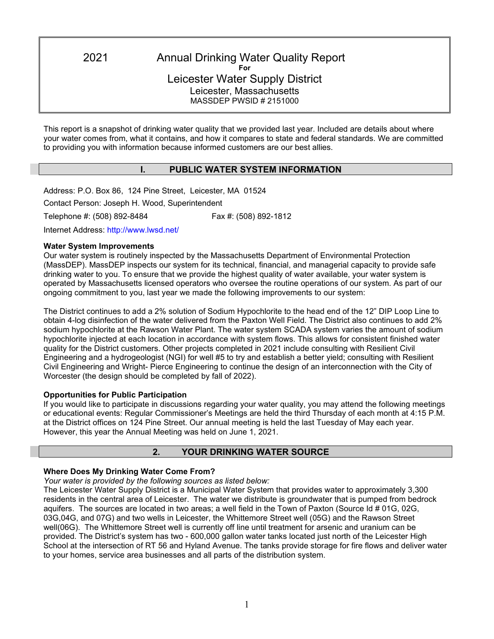2021 Annual Drinking Water Quality Report **For** Leicester Water Supply District Leicester, Massachusetts MASSDEP PWSID # 2151000

This report is a snapshot of drinking water quality that we provided last year. Included are details about where your water comes from, what it contains, and how it compares to state and federal standards. We are committed to providing you with information because informed customers are our best allies.

# **I. PUBLIC WATER SYSTEM INFORMATION**

Address: P.O. Box 86, 124 Pine Street, Leicester, MA 01524 Contact Person: Joseph H. Wood, Superintendent Telephone #: (508) 892-8484 Fax #: (508) 892-1812

Internet Address: http://www.lwsd.net/

#### **Water System Improvements**

Our water system is routinely inspected by the Massachusetts Department of Environmental Protection (MassDEP). MassDEP inspects our system for its technical, financial, and managerial capacity to provide safe drinking water to you. To ensure that we provide the highest quality of water available, your water system is operated by Massachusetts licensed operators who oversee the routine operations of our system. As part of our ongoing commitment to you, last year we made the following improvements to our system:

The District continues to add a 2% solution of Sodium Hypochlorite to the head end of the 12" DIP Loop Line to obtain 4-log disinfection of the water delivered from the Paxton Well Field. The District also continues to add 2% sodium hypochlorite at the Rawson Water Plant. The water system SCADA system varies the amount of sodium hypochlorite injected at each location in accordance with system flows. This allows for consistent finished water quality for the District customers. Other projects completed in 2021 include consulting with Resilient Civil Engineering and a hydrogeologist (NGI) for well #5 to try and establish a better yield; consulting with Resilient Civil Engineering and Wright- Pierce Engineering to continue the design of an interconnection with the City of Worcester (the design should be completed by fall of 2022).

### **Opportunities for Public Participation**

If you would like to participate in discussions regarding your water quality, you may attend the following meetings or educational events: Regular Commissioner's Meetings are held the third Thursday of each month at 4:15 P.M. at the District offices on 124 Pine Street. Our annual meeting is held the last Tuesday of May each year. However, this year the Annual Meeting was held on June 1, 2021.

#### **2. YOUR DRINKING WATER SOURCE**

#### **Where Does My Drinking Water Come From?**

*Your water is provided by the following sources as listed below:*

The Leicester Water Supply District is a Municipal Water System that provides water to approximately 3,300 residents in the central area of Leicester. The water we distribute is groundwater that is pumped from bedrock aquifers. The sources are located in two areas; a well field in the Town of Paxton (Source Id # 01G, 02G, 03G,04G, and 07G) and two wells in Leicester, the Whittemore Street well (05G) and the Rawson Street well(06G). The Whittemore Street well is currently off line until treatment for arsenic and uranium can be provided. The District's system has two - 600,000 gallon water tanks located just north of the Leicester High School at the intersection of RT 56 and Hyland Avenue. The tanks provide storage for fire flows and deliver water to your homes, service area businesses and all parts of the distribution system.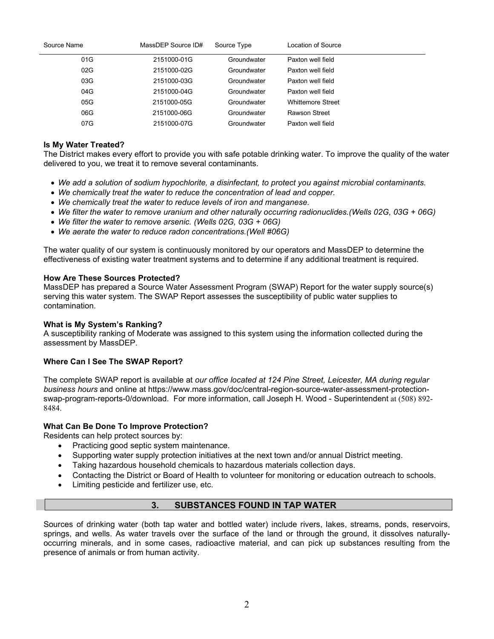| Source Name | MassDEP Source ID# | Source Type | Location of Source       |
|-------------|--------------------|-------------|--------------------------|
| 01G         | 2151000-01G        | Groundwater | Paxton well field        |
| 02G         | 2151000-02G        | Groundwater | Paxton well field        |
| 03G         | 2151000-03G        | Groundwater | Paxton well field        |
| 04G         | 2151000-04G        | Groundwater | Paxton well field        |
| 05G         | 2151000-05G        | Groundwater | <b>Whittemore Street</b> |
| 06G         | 2151000-06G        | Groundwater | Rawson Street            |
| 07G         | 2151000-07G        | Groundwater | Paxton well field        |

### **Is My Water Treated?**

The District makes every effort to provide you with safe potable drinking water. To improve the quality of the water delivered to you, we treat it to remove several contaminants.

- *We add a solution of sodium hypochlorite, a disinfectant, to protect you against microbial contaminants.*
- *We chemically treat the water to reduce the concentration of lead and copper.*
- *We chemically treat the water to reduce levels of iron and manganese.*
- *We filter the water to remove uranium and other naturally occurring radionuclides.(Wells 02G, 03G + 06G)*
- *We filter the water to remove arsenic. (Wells 02G, 03G + 06G)*
- *We aerate the water to reduce radon concentrations.(Well #06G)*

The water quality of our system is continuously monitored by our operators and MassDEP to determine the effectiveness of existing water treatment systems and to determine if any additional treatment is required.

### **How Are These Sources Protected?**

MassDEP has prepared a Source Water Assessment Program (SWAP) Report for the water supply source(s) serving this water system. The SWAP Report assesses the susceptibility of public water supplies to contamination.

### **What is My System's Ranking?**

A susceptibility ranking of Moderate was assigned to this system using the information collected during the assessment by MassDEP.

# **Where Can I See The SWAP Report?**

The complete SWAP report is available at *our office located at 124 Pine Street, Leicester, MA during regular business hours* and online at https://www.mass.gov/doc/central-region-source-water-assessment-protectionswap-program-reports-0/download. For more information, call Joseph H. Wood - Superintendent at (508) 892- 8484.

#### **What Can Be Done To Improve Protection?**

Residents can help protect sources by:

- Practicing good septic system maintenance.
- Supporting water supply protection initiatives at the next town and/or annual District meeting.
- Taking hazardous household chemicals to hazardous materials collection days.
- Contacting the District or Board of Health to volunteer for monitoring or education outreach to schools.
- Limiting pesticide and fertilizer use, etc.

# **3. SUBSTANCES FOUND IN TAP WATER**

Sources of drinking water (both tap water and bottled water) include rivers, lakes, streams, ponds, reservoirs, springs, and wells. As water travels over the surface of the land or through the ground, it dissolves naturallyoccurring minerals, and in some cases, radioactive material, and can pick up substances resulting from the presence of animals or from human activity.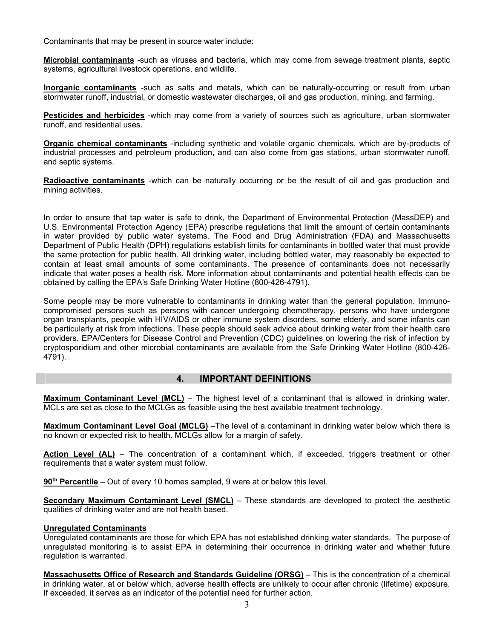Contaminants that may be present in source water include:

**Microbial contaminants** -such as viruses and bacteria, which may come from sewage treatment plants, septic systems, agricultural livestock operations, and wildlife.

**Inorganic contaminants** -such as salts and metals, which can be naturally-occurring or result from urban stormwater runoff, industrial, or domestic wastewater discharges, oil and gas production, mining, and farming.

**Pesticides and herbicides** -which may come from a variety of sources such as agriculture, urban stormwater runoff, and residential uses.

**Organic chemical contaminants** -including synthetic and volatile organic chemicals, which are by-products of industrial processes and petroleum production, and can also come from gas stations, urban stormwater runoff, and septic systems.

**Radioactive contaminants** -which can be naturally occurring or be the result of oil and gas production and mining activities.

In order to ensure that tap water is safe to drink, the Department of Environmental Protection (MassDEP) and U.S. Environmental Protection Agency (EPA) prescribe regulations that limit the amount of certain contaminants in water provided by public water systems. The Food and Drug Administration (FDA) and Massachusetts Department of Public Health (DPH) regulations establish limits for contaminants in bottled water that must provide the same protection for public health. All drinking water, including bottled water, may reasonably be expected to contain at least small amounts of some contaminants. The presence of contaminants does not necessarily indicate that water poses a health risk. More information about contaminants and potential health effects can be obtained by calling the EPA's Safe Drinking Water Hotline (800-426-4791).

Some people may be more vulnerable to contaminants in drinking water than the general population. Immunocompromised persons such as persons with cancer undergoing chemotherapy, persons who have undergone organ transplants, people with HIV/AIDS or other immune system disorders, some elderly, and some infants can be particularly at risk from infections. These people should seek advice about drinking water from their health care providers. EPA/Centers for Disease Control and Prevention (CDC) guidelines on lowering the risk of infection by cryptosporidium and other microbial contaminants are available from the Safe Drinking Water Hotline (800-426- 4791).

#### **4. IMPORTANT DEFINITIONS**

**Maximum Contaminant Level (MCL)** – The highest level of a contaminant that is allowed in drinking water. MCLs are set as close to the MCLGs as feasible using the best available treatment technology.

**Maximum Contaminant Level Goal (MCLG)** –The level of a contaminant in drinking water below which there is no known or expected risk to health. MCLGs allow for a margin of safety.

**Action Level (AL)** – The concentration of a contaminant which, if exceeded, triggers treatment or other requirements that a water system must follow.

**90th Percentile** – Out of every 10 homes sampled, 9 were at or below this level.

**Secondary Maximum Contaminant Level (SMCL)** – These standards are developed to protect the aesthetic qualities of drinking water and are not health based.

#### **Unregulated Contaminants**

Unregulated contaminants are those for which EPA has not established drinking water standards. The purpose of unregulated monitoring is to assist EPA in determining their occurrence in drinking water and whether future regulation is warranted.

**Massachusetts Office of Research and Standards Guideline (ORSG)** – This is the concentration of a chemical in drinking water, at or below which, adverse health effects are unlikely to occur after chronic (lifetime) exposure. If exceeded, it serves as an indicator of the potential need for further action.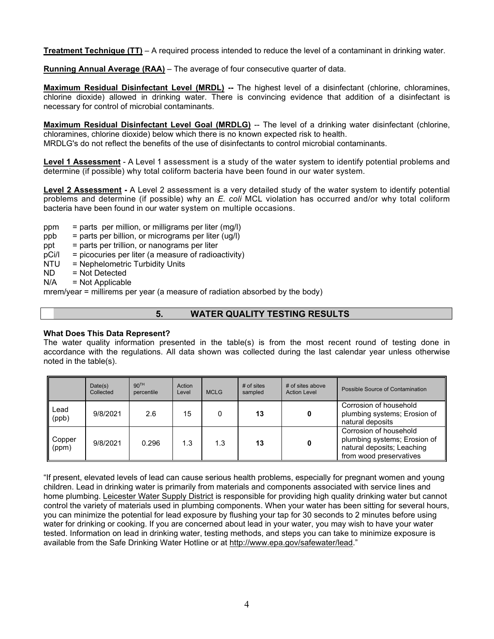**Treatment Technique (TT)** – A required process intended to reduce the level of a contaminant in drinking water.

**Running Annual Average (RAA)** – The average of four consecutive quarter of data.

**Maximum Residual Disinfectant Level (MRDL) --** The highest level of a disinfectant (chlorine, chloramines, chlorine dioxide) allowed in drinking water. There is convincing evidence that addition of a disinfectant is necessary for control of microbial contaminants.

**Maximum Residual Disinfectant Level Goal (MRDLG)** -- The level of a drinking water disinfectant (chlorine, chloramines, chlorine dioxide) below which there is no known expected risk to health.

MRDLG's do not reflect the benefits of the use of disinfectants to control microbial contaminants.

**Level 1 Assessment** - A Level 1 assessment is a study of the water system to identify potential problems and determine (if possible) why total coliform bacteria have been found in our water system.

**Level 2 Assessment -** A Level 2 assessment is a very detailed study of the water system to identify potential problems and determine (if possible) why an *E. coli* MCL violation has occurred and/or why total coliform bacteria have been found in our water system on multiple occasions.

- ppm = parts per million, or milligrams per liter  $(mg/l)$
- ppb = parts per billion, or micrograms per liter (ug/l)
- $ppt = parts per trillion, or nanograms per liter$
- $pCi/I = picocuries per liter (a measure of radioactivity)$
- $NTU = Nephelometric Turbidity Units  
\nND = Not Defected$
- $=$  Not Detected
- $N/A$  = Not Applicable

mrem/year = millirems per year (a measure of radiation absorbed by the body)

# **5. WATER QUALITY TESTING RESULTS**

#### **What Does This Data Represent?**

The water quality information presented in the table(s) is from the most recent round of testing done in accordance with the regulations. All data shown was collected during the last calendar year unless otherwise noted in the table(s).

|                 | Date(s)<br>Collected | 90 <sup>TH</sup><br>percentile | Action<br>Level | <b>MCLG</b> | $#$ of sites<br>sampled | # of sites above<br><b>Action Level</b> | Possible Source of Contamination                                                                                |
|-----------------|----------------------|--------------------------------|-----------------|-------------|-------------------------|-----------------------------------------|-----------------------------------------------------------------------------------------------------------------|
| Lead<br>(ppb)   | 9/8/2021             | 2.6                            | 15              | 0           | 13                      |                                         | Corrosion of household<br>plumbing systems; Erosion of<br>natural deposits                                      |
| Copper<br>(ppm) | 9/8/2021             | 0.296                          | 1.3             | 1.3         | 13                      |                                         | Corrosion of household<br>plumbing systems; Erosion of<br>natural deposits; Leaching<br>from wood preservatives |

"If present, elevated levels of lead can cause serious health problems, especially for pregnant women and young children. Lead in drinking water is primarily from materials and components associated with service lines and home plumbing. Leicester Water Supply District is responsible for providing high quality drinking water but cannot control the variety of materials used in plumbing components. When your water has been sitting for several hours, you can minimize the potential for lead exposure by flushing your tap for 30 seconds to 2 minutes before using water for drinking or cooking. If you are concerned about lead in your water, you may wish to have your water tested. Information on lead in drinking water, testing methods, and steps you can take to minimize exposure is available from the Safe Drinking Water Hotline or at [http://www.epa.gov/safewater/lead.](http://www.epa.gov/safewater/lead)"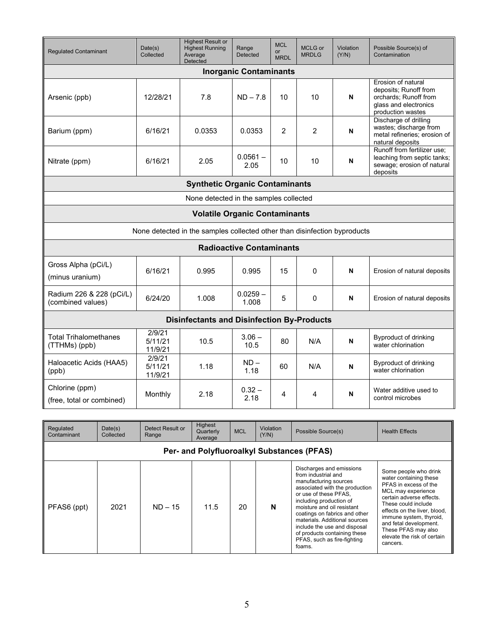| <b>Regulated Contaminant</b>                                              | Date(s)<br>Collected                   | <b>Highest Result or</b><br><b>Highest Running</b><br>Average<br>Detected | Range<br>Detected               | <b>MCL</b><br><b>or</b><br><b>MRDL</b> | MCLG or<br><b>MRDLG</b> | Violation<br>(Y/N) | Possible Source(s) of<br>Contamination                                                                             |  |  |
|---------------------------------------------------------------------------|----------------------------------------|---------------------------------------------------------------------------|---------------------------------|----------------------------------------|-------------------------|--------------------|--------------------------------------------------------------------------------------------------------------------|--|--|
| <b>Inorganic Contaminants</b>                                             |                                        |                                                                           |                                 |                                        |                         |                    |                                                                                                                    |  |  |
| Arsenic (ppb)                                                             | 12/28/21                               | 7.8                                                                       | $ND - 7.8$                      | 10                                     | 10                      | N                  | Erosion of natural<br>deposits; Runoff from<br>orchards; Runoff from<br>glass and electronics<br>production wastes |  |  |
| Barium (ppm)                                                              | 6/16/21                                | 0.0353                                                                    | 0.0353                          | $\mathcal{P}$                          | $\mathcal{P}$           | N                  | Discharge of drilling<br>wastes; discharge from<br>metal refineries; erosion of<br>natural deposits                |  |  |
| Nitrate (ppm)                                                             | 6/16/21                                | 2.05                                                                      | $0.0561 -$<br>2.05              | 10                                     | 10                      | N                  | Runoff from fertilizer use;<br>leaching from septic tanks;<br>sewage; erosion of natural<br>deposits               |  |  |
|                                                                           |                                        | <b>Synthetic Organic Contaminants</b>                                     |                                 |                                        |                         |                    |                                                                                                                    |  |  |
|                                                                           | None detected in the samples collected |                                                                           |                                 |                                        |                         |                    |                                                                                                                    |  |  |
| <b>Volatile Organic Contaminants</b>                                      |                                        |                                                                           |                                 |                                        |                         |                    |                                                                                                                    |  |  |
| None detected in the samples collected other than disinfection byproducts |                                        |                                                                           |                                 |                                        |                         |                    |                                                                                                                    |  |  |
|                                                                           |                                        |                                                                           | <b>Radioactive Contaminants</b> |                                        |                         |                    |                                                                                                                    |  |  |
| Gross Alpha (pCi/L)<br>(minus uranium)                                    | 6/16/21                                | 0.995                                                                     | 0.995                           | 15                                     | $\mathbf 0$             | N                  | Erosion of natural deposits                                                                                        |  |  |
| Radium 226 & 228 (pCi/L)<br>(combined values)                             | 6/24/20                                | 1.008                                                                     | $0.0259 -$<br>1.008             | 5                                      | $\Omega$                | N                  | Erosion of natural deposits                                                                                        |  |  |
| <b>Disinfectants and Disinfection By-Products</b>                         |                                        |                                                                           |                                 |                                        |                         |                    |                                                                                                                    |  |  |
| Total Trihalomethanes<br>(TTHMs) (ppb)                                    | 2/9/21<br>5/11/21<br>11/9/21           | 10.5                                                                      | $3.06 -$<br>10.5                | 80                                     | N/A                     | N                  | <b>Byproduct of drinking</b><br>water chlorination                                                                 |  |  |
| Haloacetic Acids (HAA5)<br>(ppb)                                          | 2/9/21<br>5/11/21<br>11/9/21           | 1.18                                                                      | $ND -$<br>1.18                  | 60                                     | N/A                     | N                  | <b>Byproduct of drinking</b><br>water chlorination                                                                 |  |  |
| Chlorine (ppm)<br>(free, total or combined)                               | Monthly                                | 2.18                                                                      | $0.32 -$<br>2.18                | 4                                      | 4                       | N                  | Water additive used to<br>control microbes                                                                         |  |  |

| Regulated<br>Contaminant                   | Date(s)<br>Collected | Detect Result or<br>Range | Highest<br>Quarterly<br>Average | <b>MCL</b> | Violation<br>(Y/N) | Possible Source(s)                                                                                                                                                                                                                                                                                                                                                      | <b>Health Effects</b>                                                                                                                                                                                                                                                                                    |  |  |
|--------------------------------------------|----------------------|---------------------------|---------------------------------|------------|--------------------|-------------------------------------------------------------------------------------------------------------------------------------------------------------------------------------------------------------------------------------------------------------------------------------------------------------------------------------------------------------------------|----------------------------------------------------------------------------------------------------------------------------------------------------------------------------------------------------------------------------------------------------------------------------------------------------------|--|--|
| Per- and Polyfluoroalkyl Substances (PFAS) |                      |                           |                                 |            |                    |                                                                                                                                                                                                                                                                                                                                                                         |                                                                                                                                                                                                                                                                                                          |  |  |
| PFAS6 (ppt)                                | 2021                 | $ND - 15$                 | 11.5                            | 20         | N                  | Discharges and emissions<br>from industrial and<br>manufacturing sources<br>associated with the production<br>or use of these PFAS.<br>including production of<br>moisture and oil resistant<br>coatings on fabrics and other<br>materials. Additional sources<br>include the use and disposal<br>of products containing these<br>PFAS, such as fire-fighting<br>foams. | Some people who drink<br>water containing these<br>PFAS in excess of the<br>MCL may experience<br>certain adverse effects.<br>These could include<br>effects on the liver, blood.<br>immune system, thyroid,<br>and fetal development.<br>These PFAS may also<br>elevate the risk of certain<br>cancers. |  |  |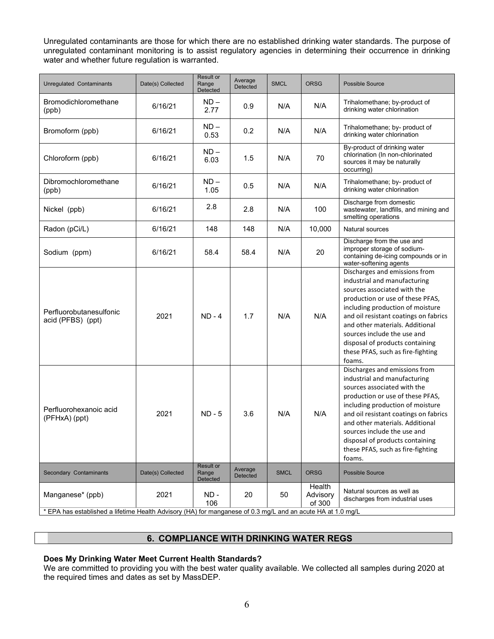Unregulated contaminants are those for which there are no established drinking water standards. The purpose of unregulated contaminant monitoring is to assist regulatory agencies in determining their occurrence in drinking water and whether future regulation is warranted.

| Unregulated Contaminants                                                                                    | Date(s) Collected | <b>Result or</b><br>Range<br>Detected | Average<br><b>Detected</b> | <b>SMCL</b> | <b>ORSG</b>                  | <b>Possible Source</b>                                                                                                                                                                                                                                                                                                                                            |  |  |
|-------------------------------------------------------------------------------------------------------------|-------------------|---------------------------------------|----------------------------|-------------|------------------------------|-------------------------------------------------------------------------------------------------------------------------------------------------------------------------------------------------------------------------------------------------------------------------------------------------------------------------------------------------------------------|--|--|
| Bromodichloromethane<br>(ppb)                                                                               | 6/16/21           | $ND -$<br>2.77                        | 0.9                        | N/A         | N/A                          | Trihalomethane; by-product of<br>drinking water chlorination                                                                                                                                                                                                                                                                                                      |  |  |
| Bromoform (ppb)                                                                                             | 6/16/21           | $ND -$<br>0.53                        | 0.2                        | N/A         | N/A                          | Trihalomethane; by- product of<br>drinking water chlorination                                                                                                                                                                                                                                                                                                     |  |  |
| Chloroform (ppb)                                                                                            | 6/16/21           | $ND -$<br>6.03                        | 1.5                        | N/A         | 70                           | By-product of drinking water<br>chlorination (In non-chlorinated<br>sources it may be naturally<br>occurring)                                                                                                                                                                                                                                                     |  |  |
| Dibromochloromethane<br>(ppb)                                                                               | 6/16/21           | $ND -$<br>1.05                        | 0.5                        | N/A         | N/A                          | Trihalomethane; by- product of<br>drinking water chlorination                                                                                                                                                                                                                                                                                                     |  |  |
| Nickel (ppb)                                                                                                | 6/16/21           | 2.8                                   | 2.8                        | N/A         | 100                          | Discharge from domestic<br>wastewater, landfills, and mining and<br>smelting operations                                                                                                                                                                                                                                                                           |  |  |
| Radon (pCi/L)                                                                                               | 6/16/21           | 148                                   | 148                        | N/A         | 10,000                       | Natural sources                                                                                                                                                                                                                                                                                                                                                   |  |  |
| Sodium (ppm)                                                                                                | 6/16/21           | 58.4                                  | 58.4                       | N/A         | 20                           | Discharge from the use and<br>improper storage of sodium-<br>containing de-icing compounds or in<br>water-softening agents                                                                                                                                                                                                                                        |  |  |
| Perfluorobutanesulfonic<br>acid (PFBS) (ppt)                                                                | 2021              | $ND - 4$                              | 1.7                        | N/A         | N/A                          | Discharges and emissions from<br>industrial and manufacturing<br>sources associated with the<br>production or use of these PFAS,<br>including production of moisture<br>and oil resistant coatings on fabrics<br>and other materials. Additional<br>sources include the use and<br>disposal of products containing<br>these PFAS, such as fire-fighting<br>foams. |  |  |
| Perfluorohexanoic acid<br>(PFHxA) (ppt)                                                                     | 2021              | $ND - 5$                              | 3.6                        | N/A         | N/A                          | Discharges and emissions from<br>industrial and manufacturing<br>sources associated with the<br>production or use of these PFAS,<br>including production of moisture<br>and oil resistant coatings on fabrics<br>and other materials. Additional<br>sources include the use and<br>disposal of products containing<br>these PFAS, such as fire-fighting<br>foams. |  |  |
| Secondary Contaminants                                                                                      | Date(s) Collected | Result or<br>Range<br>Detected        | Average<br>Detected        | <b>SMCL</b> | <b>ORSG</b>                  | <b>Possible Source</b>                                                                                                                                                                                                                                                                                                                                            |  |  |
| Manganese* (ppb)                                                                                            | 2021              | ND -<br>106                           | 20                         | 50          | Health<br>Advisory<br>of 300 | Natural sources as well as<br>discharges from industrial uses                                                                                                                                                                                                                                                                                                     |  |  |
| * EPA has established a lifetime Health Advisory (HA) for manganese of 0.3 mg/L and an acute HA at 1.0 mg/L |                   |                                       |                            |             |                              |                                                                                                                                                                                                                                                                                                                                                                   |  |  |

# **6. COMPLIANCE WITH DRINKING WATER REGS**

### **Does My Drinking Water Meet Current Health Standards?**

We are committed to providing you with the best water quality available. We collected all samples during 2020 at the required times and dates as set by MassDEP.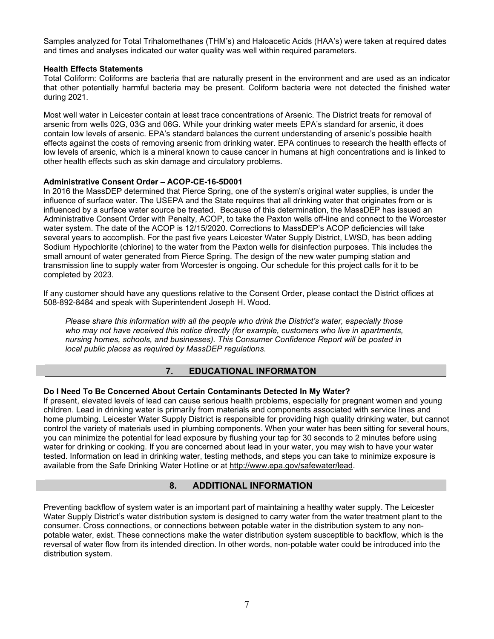Samples analyzed for Total Trihalomethanes (THM's) and Haloacetic Acids (HAA's) were taken at required dates and times and analyses indicated our water quality was well within required parameters.

### **Health Effects Statements**

Total Coliform: Coliforms are bacteria that are naturally present in the environment and are used as an indicator that other potentially harmful bacteria may be present. Coliform bacteria were not detected the finished water during 2021.

Most well water in Leicester contain at least trace concentrations of Arsenic. The District treats for removal of arsenic from wells 02G, 03G and 06G. While your drinking water meets EPA's standard for arsenic, it does contain low levels of arsenic. EPA's standard balances the current understanding of arsenic's possible health effects against the costs of removing arsenic from drinking water. EPA continues to research the health effects of low levels of arsenic, which is a mineral known to cause cancer in humans at high concentrations and is linked to other health effects such as skin damage and circulatory problems.

### **Administrative Consent Order – ACOP-CE-16-5D001**

In 2016 the MassDEP determined that Pierce Spring, one of the system's original water supplies, is under the influence of surface water. The USEPA and the State requires that all drinking water that originates from or is influenced by a surface water source be treated. Because of this determination, the MassDEP has issued an Administrative Consent Order with Penalty, ACOP, to take the Paxton wells off-line and connect to the Worcester water system. The date of the ACOP is 12/15/2020. Corrections to MassDEP's ACOP deficiencies will take several years to accomplish. For the past five years Leicester Water Supply District, LWSD, has been adding Sodium Hypochlorite (chlorine) to the water from the Paxton wells for disinfection purposes. This includes the small amount of water generated from Pierce Spring. The design of the new water pumping station and transmission line to supply water from Worcester is ongoing. Our schedule for this project calls for it to be completed by 2023.

If any customer should have any questions relative to the Consent Order, please contact the District offices at 508-892-8484 and speak with Superintendent Joseph H. Wood.

*Please share this information with all the people who drink the District's water, especially those who may not have received this notice directly (for example, customers who live in apartments, nursing homes, schools, and businesses). This Consumer Confidence Report will be posted in local public places as required by MassDEP regulations.*

# **7. EDUCATIONAL INFORMATON**

# **Do I Need To Be Concerned About Certain Contaminants Detected In My Water?**

If present, elevated levels of lead can cause serious health problems, especially for pregnant women and young children. Lead in drinking water is primarily from materials and components associated with service lines and home plumbing. Leicester Water Supply District is responsible for providing high quality drinking water, but cannot control the variety of materials used in plumbing components. When your water has been sitting for several hours, you can minimize the potential for lead exposure by flushing your tap for 30 seconds to 2 minutes before using water for drinking or cooking. If you are concerned about lead in your water, you may wish to have your water tested. Information on lead in drinking water, testing methods, and steps you can take to minimize exposure is available from the Safe Drinking Water Hotline or at [http://www.epa.gov/safewater/lead.](http://www.epa.gov/safewater/lead)

# **8. ADDITIONAL INFORMATION**

Preventing backflow of system water is an important part of maintaining a healthy water supply. The Leicester Water Supply District's water distribution system is designed to carry water from the water treatment plant to the consumer. Cross connections, or connections between potable water in the distribution system to any nonpotable water, exist. These connections make the water distribution system susceptible to backflow, which is the reversal of water flow from its intended direction. In other words, non-potable water could be introduced into the distribution system.